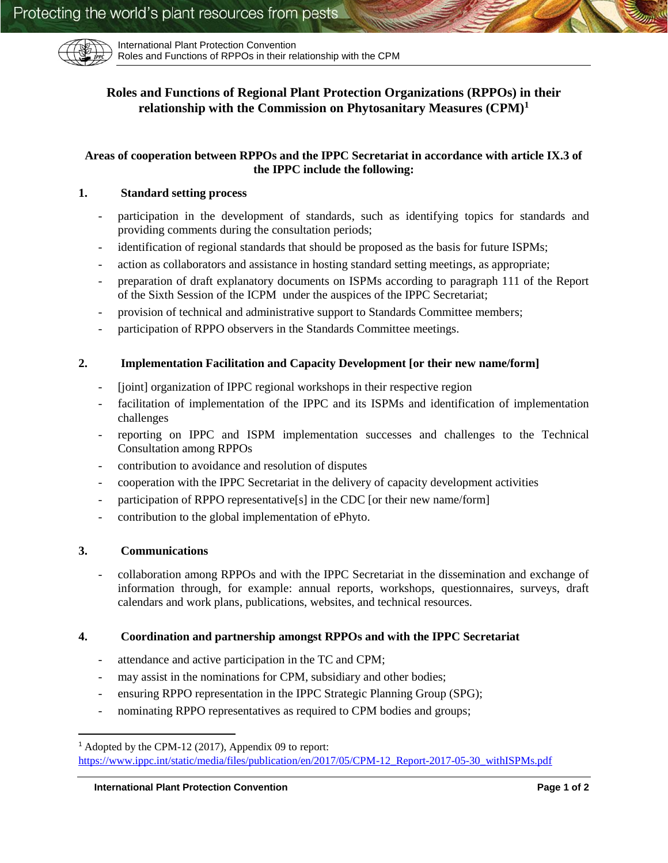

International Plant Protection Convention Roles and Functions of RPPOs in their relationship with the CPM

# **Roles and Functions of Regional Plant Protection Organizations (RPPOs) in their relationship with the Commission on Phytosanitary Measures (CPM)<sup>1</sup>**

# **Areas of cooperation between RPPOs and the IPPC Secretariat in accordance with article IX.3 of the IPPC include the following:**

# **1. Standard setting process**

- participation in the development of standards, such as identifying topics for standards and providing comments during the consultation periods;
- identification of regional standards that should be proposed as the basis for future ISPMs;
- action as collaborators and assistance in hosting standard setting meetings, as appropriate;
- preparation of draft explanatory documents on ISPMs according to paragraph 111 of the Report of the Sixth Session of the ICPM under the auspices of the IPPC Secretariat;
- provision of technical and administrative support to Standards Committee members;
- participation of RPPO observers in the Standards Committee meetings.

### **2. Implementation Facilitation and Capacity Development [or their new name/form]**

- [joint] organization of IPPC regional workshops in their respective region
- facilitation of implementation of the IPPC and its ISPMs and identification of implementation challenges
- reporting on IPPC and ISPM implementation successes and challenges to the Technical Consultation among RPPOs
- contribution to avoidance and resolution of disputes
- cooperation with the IPPC Secretariat in the delivery of capacity development activities
- participation of RPPO representative<sup>[s]</sup> in the CDC [or their new name/form]
- contribution to the global implementation of ePhyto.

### **3. Communications**

 $\overline{\phantom{a}}$ 

- collaboration among RPPOs and with the IPPC Secretariat in the dissemination and exchange of information through, for example: annual reports, workshops, questionnaires, surveys, draft calendars and work plans, publications, websites, and technical resources.

### **4. Coordination and partnership amongst RPPOs and with the IPPC Secretariat**

- attendance and active participation in the TC and CPM;
- may assist in the nominations for CPM, subsidiary and other bodies;
- ensuring RPPO representation in the IPPC Strategic Planning Group (SPG);
- nominating RPPO representatives as required to CPM bodies and groups;

<sup>1</sup> Adopted by the CPM-12 (2017), Appendix 09 to report: [https://www.ippc.int/static/media/files/publication/en/2017/05/CPM-12\\_Report-2017-05-30\\_withISPMs.pdf](https://www.ippc.int/static/media/files/publication/en/2017/05/CPM-12_Report-2017-05-30_withISPMs.pdf)